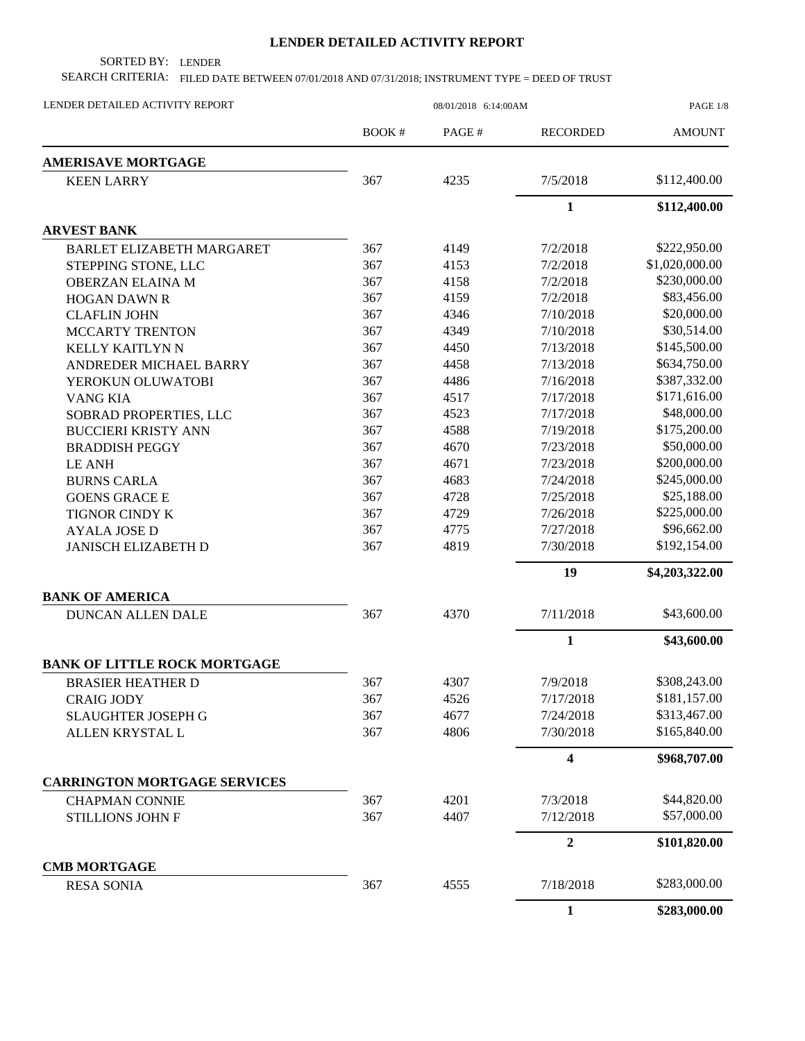## **LENDER DETAILED ACTIVITY REPORT**

SORTED BY: LENDER

SEARCH CRITERIA: FILED DATE BETWEEN 07/01/2018 AND 07/31/2018; INSTRUMENT TYPE = DEED OF TRUST

| LENDER DETAILED ACTIVITY REPORT     | 08/01/2018 6:14:00AM |       |                         | PAGE 1/8       |  |
|-------------------------------------|----------------------|-------|-------------------------|----------------|--|
|                                     | <b>BOOK#</b>         | PAGE# | <b>RECORDED</b>         | <b>AMOUNT</b>  |  |
| <b>AMERISAVE MORTGAGE</b>           |                      |       |                         |                |  |
| <b>KEEN LARRY</b>                   | 367                  | 4235  | 7/5/2018                | \$112,400.00   |  |
|                                     |                      |       | $\mathbf{1}$            | \$112,400.00   |  |
| <b>ARVEST BANK</b>                  |                      |       |                         |                |  |
| <b>BARLET ELIZABETH MARGARET</b>    | 367                  | 4149  | 7/2/2018                | \$222,950.00   |  |
| STEPPING STONE, LLC                 | 367                  | 4153  | 7/2/2018                | \$1,020,000.00 |  |
| <b>OBERZAN ELAINA M</b>             | 367                  | 4158  | 7/2/2018                | \$230,000.00   |  |
| <b>HOGAN DAWN R</b>                 | 367                  | 4159  | 7/2/2018                | \$83,456.00    |  |
| <b>CLAFLIN JOHN</b>                 | 367                  | 4346  | 7/10/2018               | \$20,000.00    |  |
| <b>MCCARTY TRENTON</b>              | 367                  | 4349  | 7/10/2018               | \$30,514.00    |  |
| KELLY KAITLYN N                     | 367                  | 4450  | 7/13/2018               | \$145,500.00   |  |
| ANDREDER MICHAEL BARRY              | 367                  | 4458  | 7/13/2018               | \$634,750.00   |  |
| YEROKUN OLUWATOBI                   | 367                  | 4486  | 7/16/2018               | \$387,332.00   |  |
| <b>VANG KIA</b>                     | 367                  | 4517  | 7/17/2018               | \$171,616.00   |  |
| SOBRAD PROPERTIES, LLC              | 367                  | 4523  | 7/17/2018               | \$48,000.00    |  |
| <b>BUCCIERI KRISTY ANN</b>          | 367                  | 4588  | 7/19/2018               | \$175,200.00   |  |
| <b>BRADDISH PEGGY</b>               | 367                  | 4670  | 7/23/2018               | \$50,000.00    |  |
| <b>LE ANH</b>                       | 367                  | 4671  | 7/23/2018               | \$200,000.00   |  |
| <b>BURNS CARLA</b>                  | 367                  | 4683  | 7/24/2018               | \$245,000.00   |  |
| <b>GOENS GRACE E</b>                | 367                  | 4728  | 7/25/2018               | \$25,188.00    |  |
| TIGNOR CINDY K                      | 367                  | 4729  | 7/26/2018               | \$225,000.00   |  |
| <b>AYALA JOSE D</b>                 | 367                  | 4775  | 7/27/2018               | \$96,662.00    |  |
| <b>JANISCH ELIZABETH D</b>          | 367                  | 4819  | 7/30/2018               | \$192,154.00   |  |
|                                     |                      |       | 19                      | \$4,203,322.00 |  |
| <b>BANK OF AMERICA</b>              |                      |       |                         |                |  |
| DUNCAN ALLEN DALE                   | 367                  | 4370  | 7/11/2018               | \$43,600.00    |  |
|                                     |                      |       | $\mathbf{1}$            | \$43,600.00    |  |
| <b>BANK OF LITTLE ROCK MORTGAGE</b> |                      |       |                         |                |  |
| <b>BRASIER HEATHER D</b>            | 367                  | 4307  | 7/9/2018                | \$308,243.00   |  |
| <b>CRAIG JODY</b>                   | 367                  | 4526  | 7/17/2018               | \$181,157.00   |  |
| <b>SLAUGHTER JOSEPH G</b>           | 367                  | 4677  | 7/24/2018               | \$313,467.00   |  |
| ALLEN KRYSTAL L                     | 367                  | 4806  | 7/30/2018               | \$165,840.00   |  |
|                                     |                      |       | $\overline{\mathbf{4}}$ | \$968,707.00   |  |
| <b>CARRINGTON MORTGAGE SERVICES</b> |                      |       |                         |                |  |
| <b>CHAPMAN CONNIE</b>               | 367                  | 4201  | 7/3/2018                | \$44,820.00    |  |
| <b>STILLIONS JOHN F</b>             | 367                  | 4407  | 7/12/2018               | \$57,000.00    |  |
|                                     |                      |       | $\boldsymbol{2}$        | \$101,820.00   |  |
| <b>CMB MORTGAGE</b>                 |                      |       |                         |                |  |
| <b>RESA SONIA</b>                   | 367                  | 4555  | 7/18/2018               | \$283,000.00   |  |
|                                     |                      |       | $\mathbf{1}$            | \$283,000.00   |  |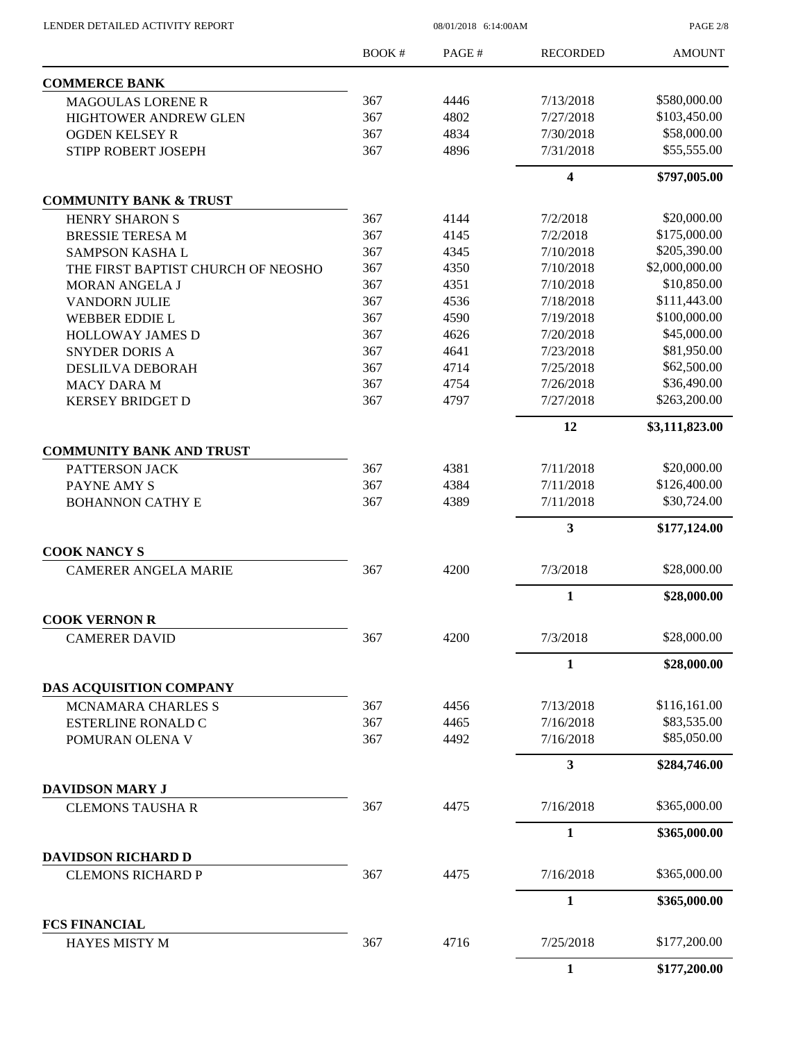$08/01/2018$   $\,$  6:14:00AM

PAGE 2/8

|                                                        | <b>BOOK#</b> | PAGE#        | <b>RECORDED</b> | <b>AMOUNT</b>  |
|--------------------------------------------------------|--------------|--------------|-----------------|----------------|
| <b>COMMERCE BANK</b>                                   |              |              |                 |                |
| <b>MAGOULAS LORENE R</b>                               | 367          | 4446         | 7/13/2018       | \$580,000.00   |
| <b>HIGHTOWER ANDREW GLEN</b>                           | 367          | 4802         | 7/27/2018       | \$103,450.00   |
| <b>OGDEN KELSEY R</b>                                  | 367          | 4834         | 7/30/2018       | \$58,000.00    |
| STIPP ROBERT JOSEPH                                    | 367          | 4896         | 7/31/2018       | \$55,555.00    |
|                                                        |              |              | 4               | \$797,005.00   |
| <b>COMMUNITY BANK &amp; TRUST</b>                      |              |              |                 |                |
| <b>HENRY SHARON S</b>                                  | 367          | 4144         | 7/2/2018        | \$20,000.00    |
| <b>BRESSIE TERESA M</b>                                | 367          | 4145         | 7/2/2018        | \$175,000.00   |
| <b>SAMPSON KASHAL</b>                                  | 367          | 4345         | 7/10/2018       | \$205,390.00   |
| THE FIRST BAPTIST CHURCH OF NEOSHO                     | 367          | 4350         | 7/10/2018       | \$2,000,000.00 |
| <b>MORAN ANGELA J</b>                                  | 367          | 4351         | 7/10/2018       | \$10,850.00    |
| <b>VANDORN JULIE</b>                                   | 367          | 4536         | 7/18/2018       | \$111,443.00   |
| <b>WEBBER EDDIE L</b>                                  | 367          | 4590         | 7/19/2018       | \$100,000.00   |
| <b>HOLLOWAY JAMES D</b>                                | 367          | 4626         | 7/20/2018       | \$45,000.00    |
| <b>SNYDER DORIS A</b>                                  | 367          | 4641         | 7/23/2018       | \$81,950.00    |
| DESLILVA DEBORAH                                       | 367          | 4714         | 7/25/2018       | \$62,500.00    |
| <b>MACY DARA M</b>                                     | 367          | 4754         | 7/26/2018       | \$36,490.00    |
| <b>KERSEY BRIDGET D</b>                                | 367          | 4797         | 7/27/2018       | \$263,200.00   |
|                                                        |              |              | 12              | \$3,111,823.00 |
| <b>COMMUNITY BANK AND TRUST</b>                        |              |              |                 |                |
| PATTERSON JACK                                         | 367          | 4381         | 7/11/2018       | \$20,000.00    |
| PAYNE AMY S                                            | 367          | 4384         | 7/11/2018       | \$126,400.00   |
| <b>BOHANNON CATHY E</b>                                | 367          | 4389         | 7/11/2018       | \$30,724.00    |
|                                                        |              |              | 3               | \$177,124.00   |
| <b>COOK NANCY S</b>                                    |              |              |                 |                |
| <b>CAMERER ANGELA MARIE</b>                            | 367          | 4200         | 7/3/2018        | \$28,000.00    |
|                                                        |              |              | 1               | \$28,000.00    |
| <b>COOK VERNON R</b><br><b>CAMERER DAVID</b>           | 367          | 4200         | 7/3/2018        | \$28,000.00    |
|                                                        |              |              |                 |                |
|                                                        |              |              | $\mathbf{1}$    | \$28,000.00    |
| DAS ACQUISITION COMPANY                                |              |              | 7/13/2018       | \$116,161.00   |
| <b>MCNAMARA CHARLES S</b><br><b>ESTERLINE RONALD C</b> | 367<br>367   | 4456<br>4465 | 7/16/2018       | \$83,535.00    |
| POMURAN OLENA V                                        | 367          | 4492         | 7/16/2018       | \$85,050.00    |
|                                                        |              |              | 3               | \$284,746.00   |
| <b>DAVIDSON MARY J</b>                                 |              |              |                 |                |
| <b>CLEMONS TAUSHAR</b>                                 | 367          | 4475         | 7/16/2018       | \$365,000.00   |
|                                                        |              |              | $\mathbf{1}$    | \$365,000.00   |
| <b>DAVIDSON RICHARD D</b>                              |              |              |                 |                |
| <b>CLEMONS RICHARD P</b>                               | 367          | 4475         | 7/16/2018       | \$365,000.00   |
|                                                        |              |              | 1               | \$365,000.00   |
| <b>FCS FINANCIAL</b>                                   |              |              |                 |                |
| <b>HAYES MISTY M</b>                                   | 367          | 4716         | 7/25/2018       | \$177,200.00   |
|                                                        |              |              | $\mathbf{1}$    | \$177,200.00   |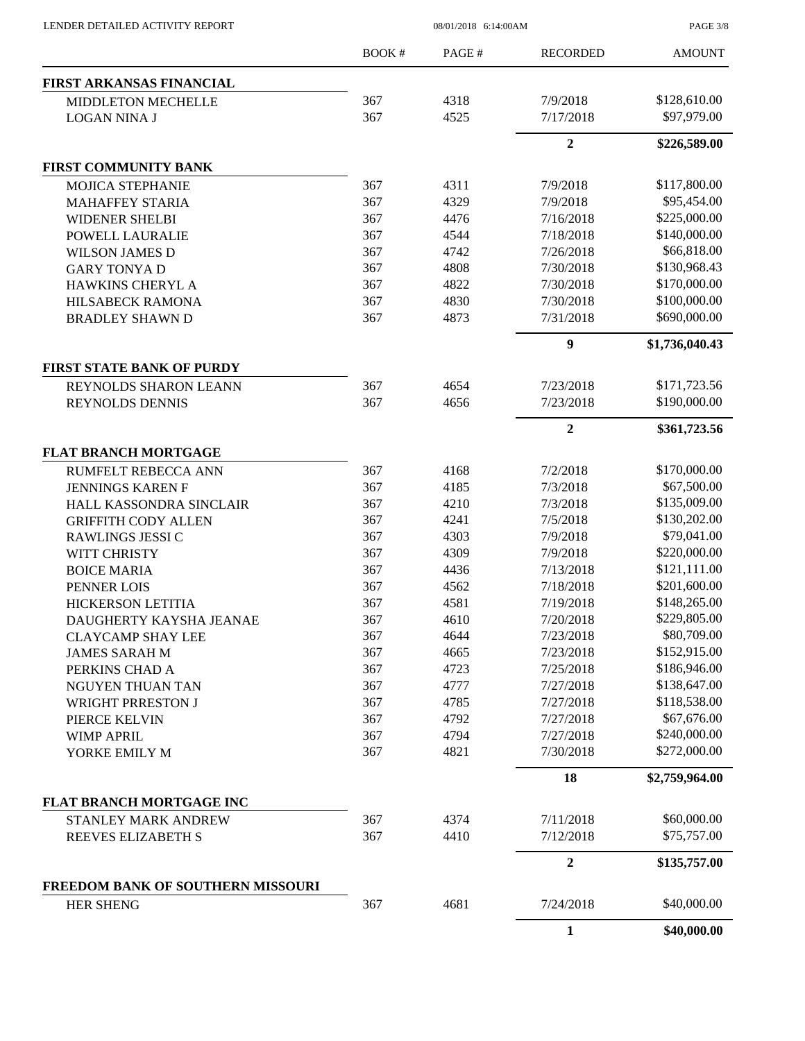| LENDER DETAILED ACTIVITY REPORT        |              | PAGE 3/8     |                        |                             |
|----------------------------------------|--------------|--------------|------------------------|-----------------------------|
|                                        | <b>BOOK#</b> | PAGE#        | <b>RECORDED</b>        | <b>AMOUNT</b>               |
| FIRST ARKANSAS FINANCIAL               |              |              |                        |                             |
| MIDDLETON MECHELLE                     | 367          | 4318         | 7/9/2018               | \$128,610.00                |
| <b>LOGAN NINA J</b>                    | 367          | 4525         | 7/17/2018              | \$97,979.00                 |
|                                        |              |              | $\overline{2}$         | \$226,589.00                |
| <b>FIRST COMMUNITY BANK</b>            |              |              |                        |                             |
| <b>MOJICA STEPHANIE</b>                | 367          | 4311         | 7/9/2018               | \$117,800.00                |
| <b>MAHAFFEY STARIA</b>                 | 367          | 4329         | 7/9/2018               | \$95,454.00                 |
| <b>WIDENER SHELBI</b>                  | 367          | 4476         | 7/16/2018              | \$225,000.00                |
| POWELL LAURALIE                        | 367          | 4544         | 7/18/2018              | \$140,000.00                |
| <b>WILSON JAMES D</b>                  | 367          | 4742         | 7/26/2018              | \$66,818.00                 |
| <b>GARY TONYAD</b>                     | 367          | 4808         | 7/30/2018              | \$130,968.43                |
| HAWKINS CHERYL A                       | 367          | 4822         | 7/30/2018              | \$170,000.00                |
| <b>HILSABECK RAMONA</b>                | 367          | 4830         | 7/30/2018              | \$100,000.00                |
| <b>BRADLEY SHAWN D</b>                 | 367          | 4873         | 7/31/2018              | \$690,000.00                |
|                                        |              |              | 9                      | \$1,736,040.43              |
| <b>FIRST STATE BANK OF PURDY</b>       |              |              |                        |                             |
| REYNOLDS SHARON LEANN                  | 367          | 4654         | 7/23/2018              | \$171,723.56                |
| REYNOLDS DENNIS                        | 367          | 4656         | 7/23/2018              | \$190,000.00                |
|                                        |              |              | $\boldsymbol{2}$       | \$361,723.56                |
| <b>FLAT BRANCH MORTGAGE</b>            |              |              |                        |                             |
| <b>RUMFELT REBECCA ANN</b>             | 367          | 4168         | 7/2/2018               | \$170,000.00                |
| <b>JENNINGS KAREN F</b>                | 367          | 4185         | 7/3/2018               | \$67,500.00                 |
| HALL KASSONDRA SINCLAIR                | 367          | 4210         | 7/3/2018               | \$135,009.00                |
| <b>GRIFFITH CODY ALLEN</b>             | 367          | 4241         | 7/5/2018               | \$130,202.00                |
| RAWLINGS JESSI C                       | 367          | 4303         | 7/9/2018               | \$79,041.00<br>\$220,000.00 |
| WITT CHRISTY                           | 367<br>367   | 4309         | 7/9/2018               | \$121,111.00                |
| <b>BOICE MARIA</b>                     | 367          | 4436<br>4562 | 7/13/2018<br>7/18/2018 | \$201,600.00                |
| PENNER LOIS                            | 367          | 4581         | 7/19/2018              | \$148,265.00                |
| HICKERSON LETITIA                      |              | 4610         |                        | \$229,805.00                |
| DAUGHERTY KAYSHA JEANAE                | 367<br>367   | 4644         | 7/20/2018              | \$80,709.00                 |
| <b>CLAYCAMP SHAY LEE</b>               | 367          | 4665         | 7/23/2018<br>7/23/2018 | \$152,915.00                |
| <b>JAMES SARAH M</b><br>PERKINS CHAD A | 367          | 4723         | 7/25/2018              | \$186,946.00                |
| NGUYEN THUAN TAN                       | 367          | 4777         | 7/27/2018              | \$138,647.00                |
| <b>WRIGHT PRRESTON J</b>               | 367          | 4785         | 7/27/2018              | \$118,538.00                |
| PIERCE KELVIN                          | 367          | 4792         | 7/27/2018              | \$67,676.00                 |
| WIMP APRIL                             | 367          | 4794         | 7/27/2018              | \$240,000.00                |
| YORKE EMILY M                          | 367          | 4821         | 7/30/2018              | \$272,000.00                |
|                                        |              |              | 18                     | \$2,759,964.00              |
| FLAT BRANCH MORTGAGE INC               |              |              |                        |                             |
| STANLEY MARK ANDREW                    | 367          | 4374         | 7/11/2018              | \$60,000.00                 |
| REEVES ELIZABETH S                     | 367          | 4410         | 7/12/2018              | \$75,757.00                 |
|                                        |              |              | $\boldsymbol{2}$       | \$135,757.00                |
| FREEDOM BANK OF SOUTHERN MISSOURI      |              |              |                        |                             |
| <b>HER SHENG</b>                       | 367          | 4681         | 7/24/2018              | \$40,000.00                 |
|                                        |              |              | 1                      | \$40,000.00                 |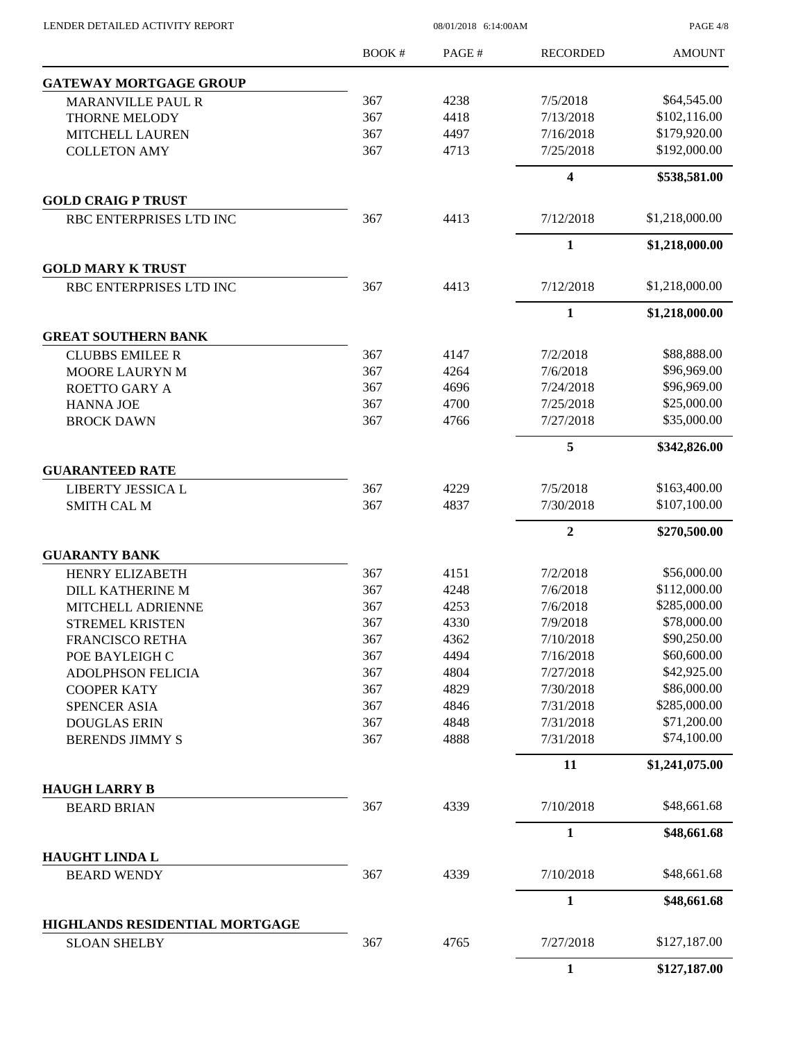PAGE 4/8

|                                      | BOOK# | PAGE# | <b>RECORDED</b> | <b>AMOUNT</b>  |
|--------------------------------------|-------|-------|-----------------|----------------|
| <b>GATEWAY MORTGAGE GROUP</b>        |       |       |                 |                |
| <b>MARANVILLE PAUL R</b>             | 367   | 4238  | 7/5/2018        | \$64,545.00    |
| <b>THORNE MELODY</b>                 | 367   | 4418  | 7/13/2018       | \$102,116.00   |
| <b>MITCHELL LAUREN</b>               | 367   | 4497  | 7/16/2018       | \$179,920.00   |
| <b>COLLETON AMY</b>                  | 367   | 4713  | 7/25/2018       | \$192,000.00   |
|                                      |       |       | 4               | \$538,581.00   |
| <b>GOLD CRAIG P TRUST</b>            |       |       |                 |                |
| RBC ENTERPRISES LTD INC              | 367   | 4413  | 7/12/2018       | \$1,218,000.00 |
|                                      |       |       | 1               | \$1,218,000.00 |
| <b>GOLD MARY K TRUST</b>             |       |       |                 |                |
| RBC ENTERPRISES LTD INC              | 367   | 4413  | 7/12/2018       | \$1,218,000.00 |
|                                      |       |       | 1               | \$1,218,000.00 |
| <b>GREAT SOUTHERN BANK</b>           |       |       |                 |                |
| <b>CLUBBS EMILEE R</b>               | 367   | 4147  | 7/2/2018        | \$88,888.00    |
| MOORE LAURYN M                       | 367   | 4264  | 7/6/2018        | \$96,969.00    |
| <b>ROETTO GARY A</b>                 | 367   | 4696  | 7/24/2018       | \$96,969.00    |
| <b>HANNA JOE</b>                     | 367   | 4700  | 7/25/2018       | \$25,000.00    |
| <b>BROCK DAWN</b>                    | 367   | 4766  | 7/27/2018       | \$35,000.00    |
|                                      |       |       | 5               | \$342,826.00   |
| <b>GUARANTEED RATE</b>               |       |       |                 |                |
| LIBERTY JESSICA L                    | 367   | 4229  | 7/5/2018        | \$163,400.00   |
| <b>SMITH CAL M</b>                   | 367   | 4837  | 7/30/2018       | \$107,100.00   |
|                                      |       |       | $\overline{2}$  | \$270,500.00   |
| <b>GUARANTY BANK</b>                 |       |       |                 |                |
| <b>HENRY ELIZABETH</b>               | 367   | 4151  | 7/2/2018        | \$56,000.00    |
| <b>DILL KATHERINE M</b>              | 367   | 4248  | 7/6/2018        | \$112,000.00   |
| MITCHELL ADRIENNE                    | 367   | 4253  | 7/6/2018        | \$285,000.00   |
| STREMEL KRISTEN                      | 367   | 4330  | 7/9/2018        | \$78,000.00    |
| FRANCISCO RETHA                      | 367   | 4362  | 7/10/2018       | \$90,250.00    |
| POE BAYLEIGH C                       | 367   | 4494  | 7/16/2018       | \$60,600.00    |
| <b>ADOLPHSON FELICIA</b>             | 367   | 4804  | 7/27/2018       | \$42,925.00    |
| <b>COOPER KATY</b>                   | 367   | 4829  | 7/30/2018       | \$86,000.00    |
| <b>SPENCER ASIA</b>                  | 367   | 4846  | 7/31/2018       | \$285,000.00   |
| <b>DOUGLAS ERIN</b>                  | 367   | 4848  | 7/31/2018       | \$71,200.00    |
| <b>BERENDS JIMMY S</b>               | 367   | 4888  | 7/31/2018       | \$74,100.00    |
|                                      |       |       | 11              | \$1,241,075.00 |
| <b>HAUGH LARRY B</b>                 |       |       |                 |                |
| <b>BEARD BRIAN</b>                   | 367   | 4339  | 7/10/2018       | \$48,661.68    |
|                                      |       |       | $\mathbf{1}$    | \$48,661.68    |
| HAUGHT LINDA L<br><b>BEARD WENDY</b> | 367   | 4339  | 7/10/2018       | \$48,661.68    |
|                                      |       |       | $\mathbf{1}$    | \$48,661.68    |
| HIGHLANDS RESIDENTIAL MORTGAGE       |       |       |                 |                |
| <b>SLOAN SHELBY</b>                  | 367   | 4765  | 7/27/2018       | \$127,187.00   |
|                                      |       |       | $\mathbf{1}$    | \$127,187.00   |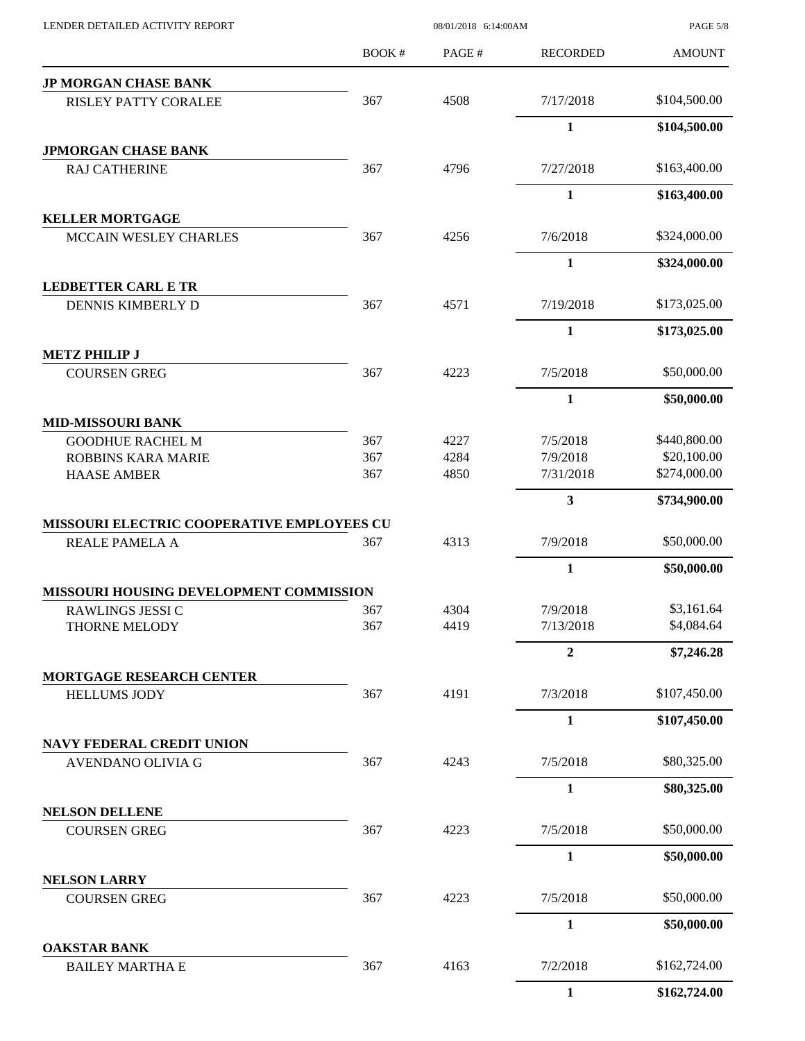|                                                        | <b>BOOK#</b> | PAGE# | <b>RECORDED</b>         | <b>AMOUNT</b> |
|--------------------------------------------------------|--------------|-------|-------------------------|---------------|
| <b>JP MORGAN CHASE BANK</b>                            |              |       |                         |               |
| RISLEY PATTY CORALEE                                   | 367          | 4508  | 7/17/2018               | \$104,500.00  |
|                                                        |              |       | 1                       | \$104,500.00  |
| <b>JPMORGAN CHASE BANK</b>                             |              |       |                         |               |
| <b>RAJ CATHERINE</b>                                   | 367          | 4796  | 7/27/2018               | \$163,400.00  |
|                                                        |              |       | $\mathbf{1}$            | \$163,400.00  |
| <b>KELLER MORTGAGE</b>                                 |              |       |                         |               |
| MCCAIN WESLEY CHARLES                                  | 367          | 4256  | 7/6/2018                | \$324,000.00  |
|                                                        |              |       | $\mathbf{1}$            | \$324,000.00  |
| <b>LEDBETTER CARL E TR</b>                             |              |       |                         |               |
| DENNIS KIMBERLY D                                      | 367          | 4571  | 7/19/2018               | \$173,025.00  |
|                                                        |              |       | $\mathbf{1}$            | \$173,025.00  |
| <b>METZ PHILIP J</b><br><b>COURSEN GREG</b>            | 367          | 4223  | 7/5/2018                | \$50,000.00   |
|                                                        |              |       | $\mathbf{1}$            | \$50,000.00   |
| <b>MID-MISSOURI BANK</b>                               |              |       |                         |               |
| <b>GOODHUE RACHEL M</b>                                | 367          | 4227  | 7/5/2018                | \$440,800.00  |
| ROBBINS KARA MARIE                                     | 367          | 4284  | 7/9/2018                | \$20,100.00   |
| <b>HAASE AMBER</b>                                     | 367          | 4850  | 7/31/2018               | \$274,000.00  |
|                                                        |              |       | $\overline{\mathbf{3}}$ | \$734,900.00  |
| MISSOURI ELECTRIC COOPERATIVE EMPLOYEES CU             |              |       |                         |               |
| REALE PAMELA A                                         | 367          | 4313  | 7/9/2018                | \$50,000.00   |
|                                                        |              |       | $\mathbf{1}$            | \$50,000.00   |
| MISSOURI HOUSING DEVELOPMENT COMMISSION                |              |       |                         |               |
| RAWLINGS JESSI C                                       | 367          | 4304  | 7/9/2018                | \$3,161.64    |
| THORNE MELODY                                          | 367          | 4419  | 7/13/2018               | \$4,084.64    |
|                                                        |              |       | $\overline{2}$          | \$7,246.28    |
| <b>MORTGAGE RESEARCH CENTER</b><br><b>HELLUMS JODY</b> | 367          | 4191  | 7/3/2018                | \$107,450.00  |
|                                                        |              |       |                         |               |
|                                                        |              |       | $\mathbf{1}$            | \$107,450.00  |
| <b>NAVY FEDERAL CREDIT UNION</b><br>AVENDANO OLIVIA G  | 367          | 4243  | 7/5/2018                | \$80,325.00   |
|                                                        |              |       | $\mathbf{1}$            | \$80,325.00   |
|                                                        |              |       |                         |               |
| <b>NELSON DELLENE</b><br><b>COURSEN GREG</b>           | 367          | 4223  | 7/5/2018                | \$50,000.00   |
|                                                        |              |       |                         |               |
| <b>NELSON LARRY</b>                                    |              |       | $\mathbf{1}$            | \$50,000.00   |
| <b>COURSEN GREG</b>                                    | 367          | 4223  | 7/5/2018                | \$50,000.00   |
|                                                        |              |       | $\mathbf{1}$            | \$50,000.00   |
| <b>OAKSTAR BANK</b>                                    |              |       |                         |               |
| <b>BAILEY MARTHA E</b>                                 | 367          | 4163  | 7/2/2018                | \$162,724.00  |
|                                                        |              |       | $\mathbf{1}$            | \$162,724.00  |

LENDER DETAILED ACTIVITY REPORT 08/01/2018 6:14:00AM

PAGE 5/8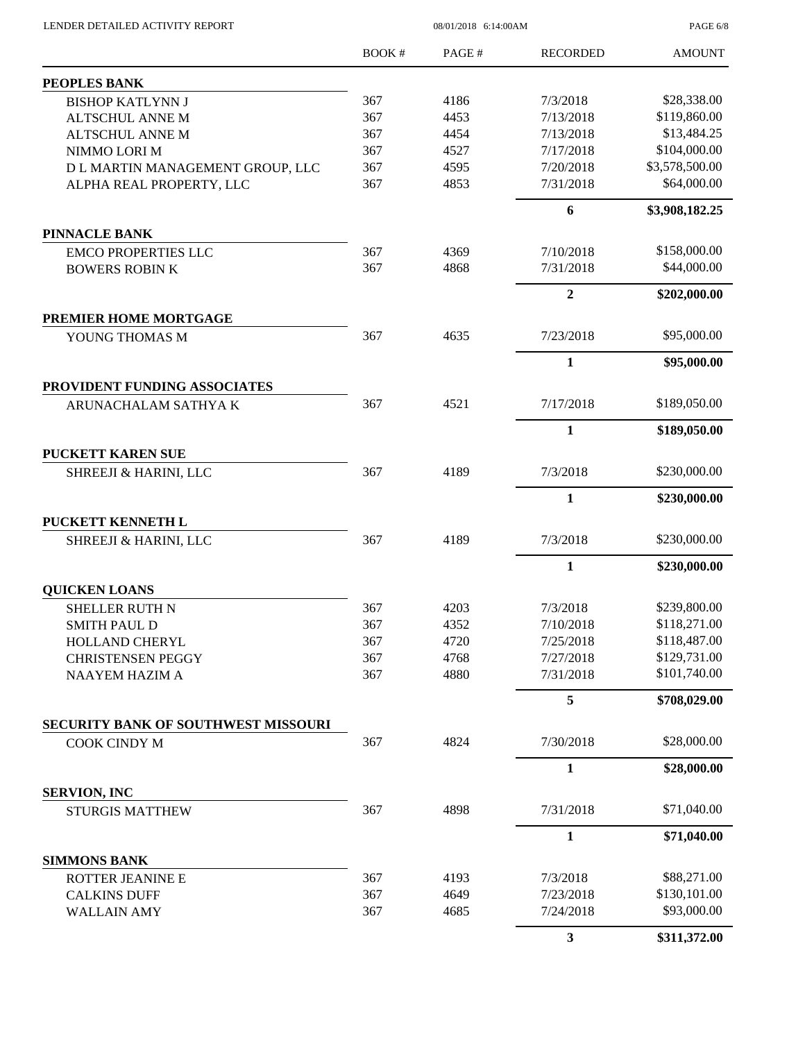$08/01/2018$  6:14:00AM

PAGE 6/8

|                                       | <b>BOOK#</b> | PAGE#        | <b>RECORDED</b>       | <b>AMOUNT</b>                |
|---------------------------------------|--------------|--------------|-----------------------|------------------------------|
| <b>PEOPLES BANK</b>                   |              |              |                       |                              |
| <b>BISHOP KATLYNN J</b>               | 367          | 4186         | 7/3/2018              | \$28,338.00                  |
| <b>ALTSCHUL ANNE M</b>                | 367          | 4453         | 7/13/2018             | \$119,860.00                 |
| <b>ALTSCHUL ANNE M</b>                | 367          | 4454         | 7/13/2018             | \$13,484.25                  |
| NIMMO LORI M                          | 367          | 4527         | 7/17/2018             | \$104,000.00                 |
| D L MARTIN MANAGEMENT GROUP, LLC      | 367          | 4595         | 7/20/2018             | \$3,578,500.00               |
| ALPHA REAL PROPERTY, LLC              | 367          | 4853         | 7/31/2018             | \$64,000.00                  |
|                                       |              |              | 6                     | \$3,908,182.25               |
| <b>PINNACLE BANK</b>                  |              |              |                       |                              |
| <b>EMCO PROPERTIES LLC</b>            | 367          | 4369         | 7/10/2018             | \$158,000.00                 |
| <b>BOWERS ROBIN K</b>                 | 367          | 4868         | 7/31/2018             | \$44,000.00                  |
|                                       |              |              | $\boldsymbol{2}$      | \$202,000.00                 |
| PREMIER HOME MORTGAGE                 |              |              |                       |                              |
| YOUNG THOMAS M                        | 367          | 4635         | 7/23/2018             | \$95,000.00                  |
|                                       |              |              | $\mathbf{1}$          | \$95,000.00                  |
| PROVIDENT FUNDING ASSOCIATES          |              |              |                       |                              |
| ARUNACHALAM SATHYA K                  | 367          | 4521         | 7/17/2018             | \$189,050.00                 |
|                                       |              |              | $\mathbf{1}$          | \$189,050.00                 |
| <b>PUCKETT KAREN SUE</b>              |              |              |                       |                              |
| SHREEJI & HARINI, LLC                 | 367          | 4189         | 7/3/2018              | \$230,000.00                 |
|                                       |              |              | 1                     | \$230,000.00                 |
| PUCKETT KENNETH L                     |              |              |                       |                              |
| SHREEJI & HARINI, LLC                 | 367          | 4189         | 7/3/2018              | \$230,000.00                 |
|                                       |              |              | $\mathbf{1}$          | \$230,000.00                 |
| <b>QUICKEN LOANS</b>                  |              |              |                       |                              |
| <b>SHELLER RUTH N</b>                 | 367          | 4203         | 7/3/2018<br>7/10/2018 | \$239,800.00<br>\$118,271.00 |
| SMITH PAUL D<br><b>HOLLAND CHERYL</b> | 367<br>367   | 4352<br>4720 | 7/25/2018             | \$118,487.00                 |
| <b>CHRISTENSEN PEGGY</b>              | 367          | 4768         | 7/27/2018             | \$129,731.00                 |
| <b>NAAYEM HAZIM A</b>                 | 367          | 4880         | 7/31/2018             | \$101,740.00                 |
|                                       |              |              | 5                     | \$708,029.00                 |
| SECURITY BANK OF SOUTHWEST MISSOURI   |              |              |                       |                              |
| COOK CINDY M                          | 367          | 4824         | 7/30/2018             | \$28,000.00                  |
|                                       |              |              | 1                     | \$28,000.00                  |
| <b>SERVION, INC</b>                   |              |              |                       |                              |
| <b>STURGIS MATTHEW</b>                | 367          | 4898         | 7/31/2018             | \$71,040.00                  |
|                                       |              |              | 1                     | \$71,040.00                  |
| <b>SIMMONS BANK</b>                   |              |              |                       |                              |
| ROTTER JEANINE E                      | 367          | 4193         | 7/3/2018              | \$88,271.00                  |
| <b>CALKINS DUFF</b>                   | 367          | 4649         | 7/23/2018             | \$130,101.00                 |
| <b>WALLAIN AMY</b>                    | 367          | 4685         | 7/24/2018             | \$93,000.00                  |
|                                       |              |              | 3                     | \$311,372.00                 |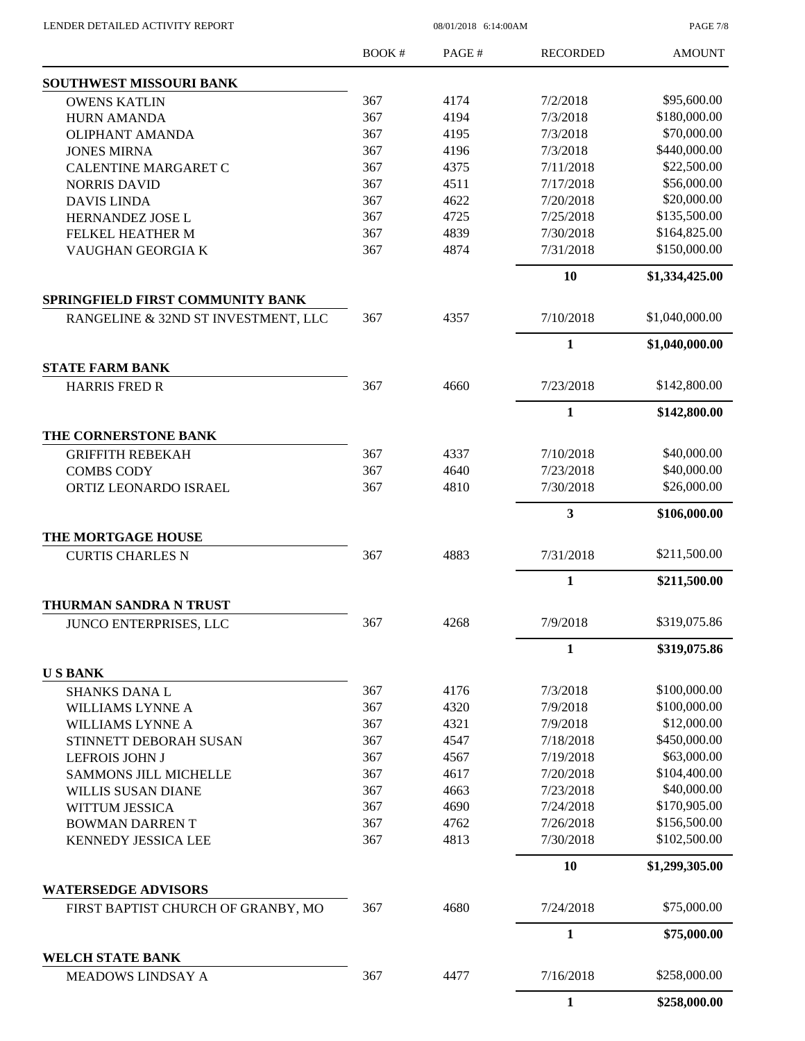LENDER DETAILED ACTIVITY REPORT 08/01/2018 6:14:00AM

PAGE 7/8

|                                                         | <b>BOOK#</b> | PAGE# | <b>RECORDED</b>         | <b>AMOUNT</b>  |
|---------------------------------------------------------|--------------|-------|-------------------------|----------------|
| <b>SOUTHWEST MISSOURI BANK</b>                          |              |       |                         |                |
| <b>OWENS KATLIN</b>                                     | 367          | 4174  | 7/2/2018                | \$95,600.00    |
| <b>HURN AMANDA</b>                                      | 367          | 4194  | 7/3/2018                | \$180,000.00   |
| <b>OLIPHANT AMANDA</b>                                  | 367          | 4195  | 7/3/2018                | \$70,000.00    |
| <b>JONES MIRNA</b>                                      | 367          | 4196  | 7/3/2018                | \$440,000.00   |
| <b>CALENTINE MARGARET C</b>                             | 367          | 4375  | 7/11/2018               | \$22,500.00    |
| <b>NORRIS DAVID</b>                                     | 367          | 4511  | 7/17/2018               | \$56,000.00    |
| <b>DAVIS LINDA</b>                                      | 367          | 4622  | 7/20/2018               | \$20,000.00    |
| HERNANDEZ JOSE L                                        | 367          | 4725  | 7/25/2018               | \$135,500.00   |
| FELKEL HEATHER M                                        | 367          | 4839  | 7/30/2018               | \$164,825.00   |
| VAUGHAN GEORGIA K                                       | 367          | 4874  | 7/31/2018               | \$150,000.00   |
|                                                         |              |       | 10                      | \$1,334,425.00 |
| SPRINGFIELD FIRST COMMUNITY BANK                        |              |       |                         |                |
| RANGELINE & 32ND ST INVESTMENT, LLC                     | 367          | 4357  | 7/10/2018               | \$1,040,000.00 |
|                                                         |              |       | 1                       | \$1,040,000.00 |
| <b>STATE FARM BANK</b><br><b>HARRIS FRED R</b>          | 367          | 4660  | 7/23/2018               | \$142,800.00   |
|                                                         |              |       |                         |                |
|                                                         |              |       | $\mathbf{1}$            | \$142,800.00   |
| THE CORNERSTONE BANK<br><b>GRIFFITH REBEKAH</b>         | 367          | 4337  | 7/10/2018               | \$40,000.00    |
| <b>COMBS CODY</b>                                       | 367          | 4640  | 7/23/2018               | \$40,000.00    |
| ORTIZ LEONARDO ISRAEL                                   | 367          | 4810  | 7/30/2018               | \$26,000.00    |
|                                                         |              |       | $\overline{\mathbf{3}}$ | \$106,000.00   |
| THE MORTGAGE HOUSE                                      |              |       |                         |                |
| <b>CURTIS CHARLES N</b>                                 | 367          | 4883  | 7/31/2018               | \$211,500.00   |
|                                                         |              |       | $\mathbf{1}$            | \$211,500.00   |
| <b>THURMAN SANDRA N TRUST</b><br>JUNCO ENTERPRISES, LLC | 367          | 4268  | 7/9/2018                | \$319,075.86   |
|                                                         |              |       | 1                       | \$319,075.86   |
| <b>USBANK</b>                                           |              |       |                         |                |
| <b>SHANKS DANA L</b>                                    | 367          | 4176  | 7/3/2018                | \$100,000.00   |
| WILLIAMS LYNNE A                                        | 367          | 4320  | 7/9/2018                | \$100,000.00   |
| WILLIAMS LYNNE A                                        | 367          | 4321  | 7/9/2018                | \$12,000.00    |
| STINNETT DEBORAH SUSAN                                  | 367          | 4547  | 7/18/2018               | \$450,000.00   |
| <b>LEFROIS JOHN J</b>                                   | 367          | 4567  | 7/19/2018               | \$63,000.00    |
| <b>SAMMONS JILL MICHELLE</b>                            | 367          | 4617  | 7/20/2018               | \$104,400.00   |
| <b>WILLIS SUSAN DIANE</b>                               | 367          | 4663  | 7/23/2018               | \$40,000.00    |
| WITTUM JESSICA                                          | 367          | 4690  | 7/24/2018               | \$170,905.00   |
| <b>BOWMAN DARRENT</b>                                   | 367          | 4762  | 7/26/2018               | \$156,500.00   |
| <b>KENNEDY JESSICA LEE</b>                              | 367          | 4813  | 7/30/2018               | \$102,500.00   |
|                                                         |              |       | 10                      | \$1,299,305.00 |
| <b>WATERSEDGE ADVISORS</b>                              |              |       |                         |                |
| FIRST BAPTIST CHURCH OF GRANBY, MO                      | 367          | 4680  | 7/24/2018               | \$75,000.00    |
|                                                         |              |       | $\mathbf{1}$            | \$75,000.00    |
| <b>WELCH STATE BANK</b>                                 |              |       |                         |                |
| MEADOWS LINDSAY A                                       | 367          | 4477  | 7/16/2018               | \$258,000.00   |
|                                                         |              |       | $\mathbf{1}$            | \$258,000.00   |